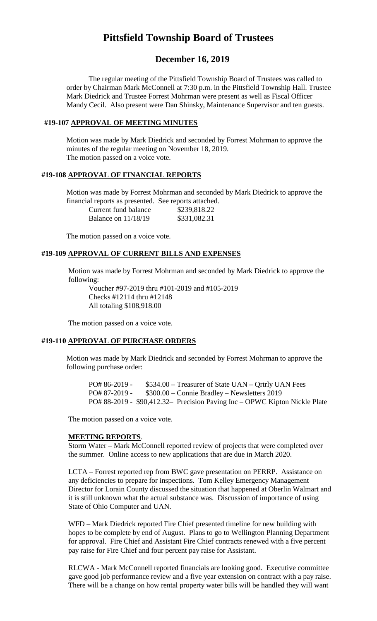# **Pittsfield Township Board of Trustees**

# **December 16, 2019**

The regular meeting of the Pittsfield Township Board of Trustees was called to order by Chairman Mark McConnell at 7:30 p.m. in the Pittsfield Township Hall. Trustee Mark Diedrick and Trustee Forrest Mohrman were present as well as Fiscal Officer Mandy Cecil. Also present were Dan Shinsky, Maintenance Supervisor and ten guests.

#### **#19-107 APPROVAL OF MEETING MINUTES**

Motion was made by Mark Diedrick and seconded by Forrest Mohrman to approve the minutes of the regular meeting on November 18, 2019. The motion passed on a voice vote.

### **#19-108 APPROVAL OF FINANCIAL REPORTS**

Motion was made by Forrest Mohrman and seconded by Mark Diedrick to approve the financial reports as presented. See reports attached.

| Current fund balance  | \$239,818.22 |
|-----------------------|--------------|
| Balance on $11/18/19$ | \$331,082.31 |

The motion passed on a voice vote.

## **#19-109 APPROVAL OF CURRENT BILLS AND EXPENSES**

Motion was made by Forrest Mohrman and seconded by Mark Diedrick to approve the following:

Voucher #97-2019 thru #101-2019 and #105-2019 Checks #12114 thru #12148 All totaling \$108,918.00

The motion passed on a voice vote.

## **#19-110 APPROVAL OF PURCHASE ORDERS**

Motion was made by Mark Diedrick and seconded by Forrest Mohrman to approve the following purchase order:

PO# 86-2019 - \$534.00 – Treasurer of State UAN – Qrtrly UAN Fees PO# 87-2019 - \$300.00 – Connie Bradley – Newsletters 2019 PO# 88-2019 - \$90,412.32– Precision Paving Inc – OPWC Kipton Nickle Plate

The motion passed on a voice vote.

#### **MEETING REPORTS**.

Storm Water – Mark McConnell reported review of projects that were completed over the summer. Online access to new applications that are due in March 2020.

LCTA – Forrest reported rep from BWC gave presentation on PERRP. Assistance on any deficiencies to prepare for inspections. Tom Kelley Emergency Management Director for Lorain County discussed the situation that happened at Oberlin Walmart and it is still unknown what the actual substance was. Discussion of importance of using State of Ohio Computer and UAN.

WFD – Mark Diedrick reported Fire Chief presented timeline for new building with hopes to be complete by end of August. Plans to go to Wellington Planning Department for approval. Fire Chief and Assistant Fire Chief contracts renewed with a five percent pay raise for Fire Chief and four percent pay raise for Assistant.

RLCWA - Mark McConnell reported financials are looking good. Executive committee gave good job performance review and a five year extension on contract with a pay raise. There will be a change on how rental property water bills will be handled they will want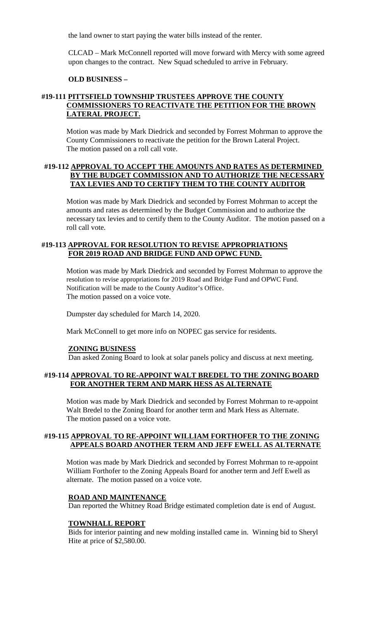the land owner to start paying the water bills instead of the renter.

CLCAD – Mark McConnell reported will move forward with Mercy with some agreed upon changes to the contract. New Squad scheduled to arrive in February.

#### **OLD BUSINESS –**

## **#19-111 PITTSFIELD TOWNSHIP TRUSTEES APPROVE THE COUNTY COMMISSIONERS TO REACTIVATE THE PETITION FOR THE BROWN LATERAL PROJECT.**

Motion was made by Mark Diedrick and seconded by Forrest Mohrman to approve the County Commissioners to reactivate the petition for the Brown Lateral Project. The motion passed on a roll call vote.

### **#19-112 APPROVAL TO ACCEPT THE AMOUNTS AND RATES AS DETERMINED BY THE BUDGET COMMISSION AND TO AUTHORIZE THE NECESSARY TAX LEVIES AND TO CERTIFY THEM TO THE COUNTY AUDITOR**

Motion was made by Mark Diedrick and seconded by Forrest Mohrman to accept the amounts and rates as determined by the Budget Commission and to authorize the necessary tax levies and to certify them to the County Auditor. The motion passed on a roll call vote.

## **#19-113 APPROVAL FOR RESOLUTION TO REVISE APPROPRIATIONS FOR 2019 ROAD AND BRIDGE FUND AND OPWC FUND.**

Motion was made by Mark Diedrick and seconded by Forrest Mohrman to approve the resolution to revise appropriations for 2019 Road and Bridge Fund and OPWC Fund. Notification will be made to the County Auditor's Office. The motion passed on a voice vote.

Dumpster day scheduled for March 14, 2020.

Mark McConnell to get more info on NOPEC gas service for residents.

#### **ZONING BUSINESS**

Dan asked Zoning Board to look at solar panels policy and discuss at next meeting.

# **#19-114 APPROVAL TO RE-APPOINT WALT BREDEL TO THE ZONING BOARD FOR ANOTHER TERM AND MARK HESS AS ALTERNATE**

Motion was made by Mark Diedrick and seconded by Forrest Mohrman to re-appoint Walt Bredel to the Zoning Board for another term and Mark Hess as Alternate. The motion passed on a voice vote.

## **#19-115 APPROVAL TO RE-APPOINT WILLIAM FORTHOFER TO THE ZONING APPEALS BOARD ANOTHER TERM AND JEFF EWELL AS ALTERNATE**

Motion was made by Mark Diedrick and seconded by Forrest Mohrman to re-appoint William Forthofer to the Zoning Appeals Board for another term and Jeff Ewell as alternate. The motion passed on a voice vote.

#### **ROAD AND MAINTENANCE**

Dan reported the Whitney Road Bridge estimated completion date is end of August.

#### **TOWNHALL REPORT**

Bids for interior painting and new molding installed came in. Winning bid to Sheryl Hite at price of \$2,580.00.